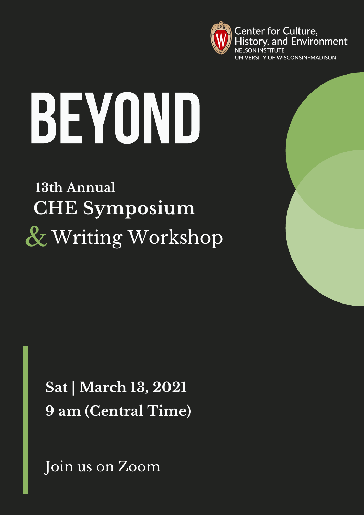

Center for Culture, History, and Environment UNIVERSITY OF WISCONSIN-MADISON

# BEYOND

**13th Annual CHE Symposium** & Writing Workshop

> **Sat | March 13, 2021 9 am (Central Time)**

Join us on Zoom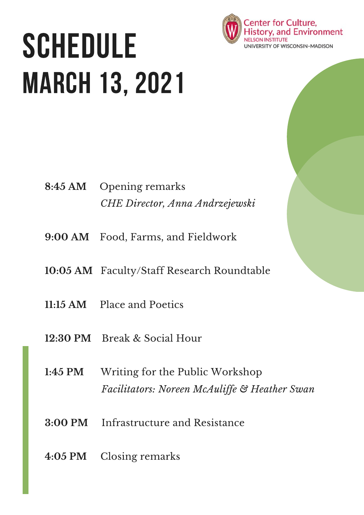## **SCHEDULE** MARCH 13, 2021

- **8:45 AM** Opening remarks *CHE Director, Anna Andrzejewski*
- **9:00 AM** Food, Farms, and Fieldwork
- **10:05 AM** Faculty/Staff Research Roundtable
- **11:15 AM** Place and Poetics
- **12:30 PM** Break & Social Hour
- **1:45 PM** Writing for the Public Workshop *Facilitators: Noreen McAulif e & Heather Swan*
- **3:00 PM** Infrastructure and Resistance
- **4:05 PM** Closing remarks

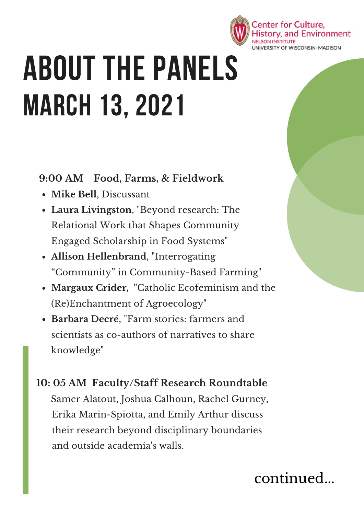

### ABOUT THE PANELS MARCH 13, 2021

**9:00 AM Food, Farms, & Fieldwork**

- **Mike Bell**, Discussant
- **Laura Livingston**, "Beyond research: The Relational Work that Shapes Community Engaged Scholarship in Food Systems"
- **Allison Hellenbrand**, "Interrogating "Community" in Community-Based Farming"
- **Margaux Crider, "**Catholic Ecofeminism and the (Re)Enchantment of Agroecology"
- **Barbara Decré**, "Farm stories: farmers and scientists as co-authors of narratives to share knowledge"

#### **10: 05 AM Faculty/Staff Research Roundtable** Samer Alatout, Joshua Calhoun, Rachel Gurney, Erika Marin-Spiotta, and Emily Arthur discuss their research beyond disciplinary boundaries and outside academia's walls.

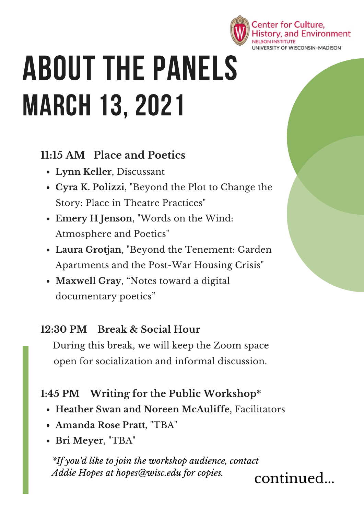

### ABOUT THE PANELS MARCH 13, 2021

#### **11:15 AM Place and Poetics**

- **Lynn Keller**, Discussant
- **Cyra K. Polizzi**, "Beyond the Plot to Change the Story: Place in Theatre Practices"
- **Emery H Jenson**, "Words on the Wind: Atmosphere and Poetics"
- **Laura Grotjan**, "Beyond the Tenement: Garden Apartments and the Post-War Housing Crisis"
- **Maxwell Gray**, "Notes toward a digital documentary poetics"

#### **12:30 PM Break & Social Hour**

During this break, we will keep the Zoom space open for socialization and informal discussion.

#### **1:45 PM Writing for the Public Workshop\***

- **Heather Swan and Noreen McAuliffe**, Facilitators
- **Amanda Rose Pratt,** "TBA"
- **Bri Meyer**, "TBA"

*\*If you'd like to join the workshop audience, contact Addie Hopes at hopes@wisc.edu for copies.*

continued...